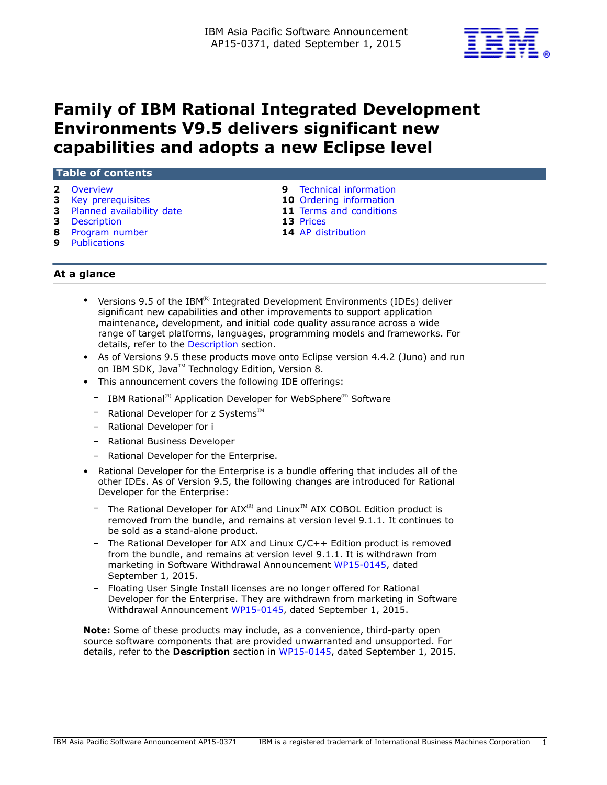

# **Family of IBM Rational Integrated Development Environments V9.5 delivers significant new capabilities and adopts a new Eclipse level**

## **Table of contents**

- 
- 
- **3** [Planned availability date](#page-2-1) **11** [Terms and conditions](#page-10-0)
- **3** [Description](#page-2-2) **13** [Prices](#page-12-0)
- **8** [Program number](#page-7-0) **14** [AP distribution](#page-13-0)
- **9** [Publications](#page-8-1)
- **2** [Overview](#page-1-0) **9** [Technical information](#page-8-0)
- **3** [Key prerequisites](#page-2-0) **10** [Ordering information](#page-9-0)
	-
	-
	-

# **At a glance**

- Versions 9.5 of the IBM $<sup>(R)</sup>$  Integrated Development Environments (IDEs) deliver</sup> significant new capabilities and other improvements to support application maintenance, development, and initial code quality assurance across a wide range of target platforms, languages, programming models and frameworks. For details, refer to the [Description](#page-2-2) section.
- As of Versions 9.5 these products move onto Eclipse version 4.4.2 (Juno) and run on IBM SDK, Java™ Technology Edition, Version 8.
- This announcement covers the following IDE offerings:
	- $-$  IBM Rational<sup>(R)</sup> Application Developer for WebSphere<sup>(R)</sup> Software
	- Rational Developer for z Systems $^{TM}$
	- Rational Developer for i
	- Rational Business Developer
	- Rational Developer for the Enterprise.
- Rational Developer for the Enterprise is a bundle offering that includes all of the other IDEs. As of Version 9.5, the following changes are introduced for Rational Developer for the Enterprise:
	- $-$  The Rational Developer for AIX<sup>(R)</sup> and Linux<sup>TM</sup> AIX COBOL Edition product is removed from the bundle, and remains at version level 9.1.1. It continues to be sold as a stand-alone product.
	- The Rational Developer for AIX and Linux C/C++ Edition product is removed from the bundle, and remains at version level 9.1.1. It is withdrawn from marketing in Software Withdrawal Announcement [WP15-0145,](http://www.ibm.com/common/ssi/cgi-bin/ssialias?infotype=an&subtype=ca&appname=gpateam&supplier=872&letternum=ENUSWP15-0145) dated September 1, 2015.
	- Floating User Single Install licenses are no longer offered for Rational Developer for the Enterprise. They are withdrawn from marketing in Software Withdrawal Announcement [WP15-0145](http://www.ibm.com/common/ssi/cgi-bin/ssialias?infotype=an&subtype=ca&appname=gpateam&supplier=872&letternum=ENUSWP15-0145), dated September 1, 2015.

**Note:** Some of these products may include, as a convenience, third-party open source software components that are provided unwarranted and unsupported. For details, refer to the **Description** section in [WP15-0145](http://www.ibm.com/common/ssi/cgi-bin/ssialias?infotype=an&subtype=ca&appname=gpateam&supplier=872&letternum=ENUSWP15-0145), dated September 1, 2015.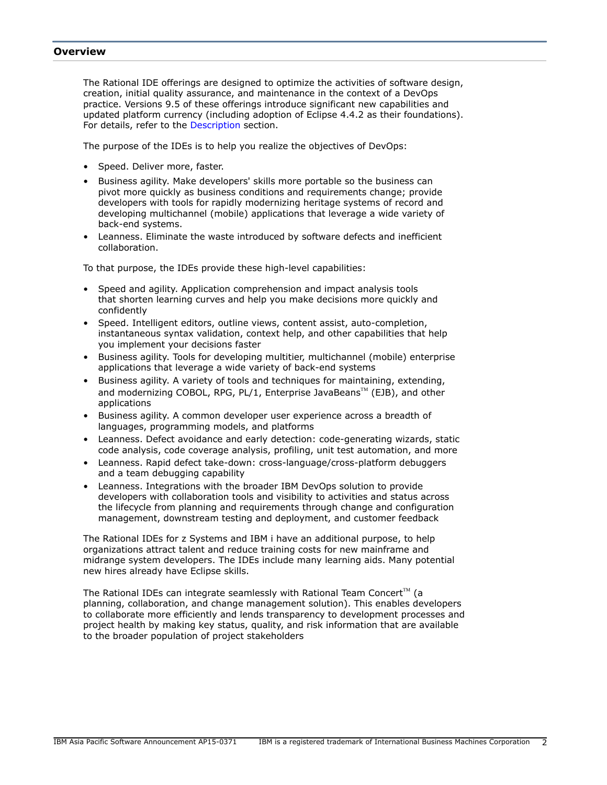## <span id="page-1-0"></span>**Overview**

The Rational IDE offerings are designed to optimize the activities of software design, creation, initial quality assurance, and maintenance in the context of a DevOps practice. Versions 9.5 of these offerings introduce significant new capabilities and updated platform currency (including adoption of Eclipse 4.4.2 as their foundations). For details, refer to the [Description](#page-2-2) section.

The purpose of the IDEs is to help you realize the objectives of DevOps:

- Speed. Deliver more, faster.
- Business agility. Make developers' skills more portable so the business can pivot more quickly as business conditions and requirements change; provide developers with tools for rapidly modernizing heritage systems of record and developing multichannel (mobile) applications that leverage a wide variety of back-end systems.
- Leanness. Eliminate the waste introduced by software defects and inefficient collaboration.

To that purpose, the IDEs provide these high-level capabilities:

- Speed and agility. Application comprehension and impact analysis tools that shorten learning curves and help you make decisions more quickly and confidently
- Speed. Intelligent editors, outline views, content assist, auto-completion, instantaneous syntax validation, context help, and other capabilities that help you implement your decisions faster
- Business agility. Tools for developing multitier, multichannel (mobile) enterprise applications that leverage a wide variety of back-end systems
- Business agility. A variety of tools and techniques for maintaining, extending, and modernizing COBOL, RPG, PL/1, Enterprise JavaBeans<sup>TM</sup> (EJB), and other applications
- Business agility. A common developer user experience across a breadth of languages, programming models, and platforms
- Leanness. Defect avoidance and early detection: code-generating wizards, static code analysis, code coverage analysis, profiling, unit test automation, and more
- Leanness. Rapid defect take-down: cross-language/cross-platform debuggers and a team debugging capability
- Leanness. Integrations with the broader IBM DevOps solution to provide developers with collaboration tools and visibility to activities and status across the lifecycle from planning and requirements through change and configuration management, downstream testing and deployment, and customer feedback

The Rational IDEs for z Systems and IBM i have an additional purpose, to help organizations attract talent and reduce training costs for new mainframe and midrange system developers. The IDEs include many learning aids. Many potential new hires already have Eclipse skills.

The Rational IDEs can integrate seamlessly with Rational Team Concert<sup>TM</sup> (a planning, collaboration, and change management solution). This enables developers to collaborate more efficiently and lends transparency to development processes and project health by making key status, quality, and risk information that are available to the broader population of project stakeholders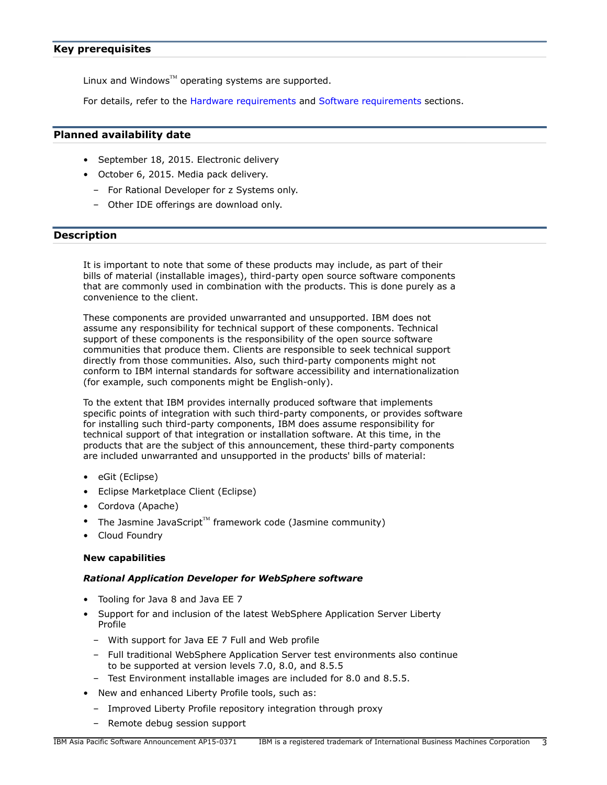# <span id="page-2-0"></span>**Key prerequisites**

Linux and Windows $TM$  operating systems are supported.

For details, refer to the [Hardware requirements](#page-8-2) and [Software requirements](#page-8-3) sections.

## <span id="page-2-1"></span>**Planned availability date**

- September 18, 2015. Electronic delivery
- October 6, 2015. Media pack delivery.
	- For Rational Developer for z Systems only.
	- Other IDE offerings are download only.

# <span id="page-2-2"></span>**Description**

It is important to note that some of these products may include, as part of their bills of material (installable images), third-party open source software components that are commonly used in combination with the products. This is done purely as a convenience to the client.

These components are provided unwarranted and unsupported. IBM does not assume any responsibility for technical support of these components. Technical support of these components is the responsibility of the open source software communities that produce them. Clients are responsible to seek technical support directly from those communities. Also, such third-party components might not conform to IBM internal standards for software accessibility and internationalization (for example, such components might be English-only).

To the extent that IBM provides internally produced software that implements specific points of integration with such third-party components, or provides software for installing such third-party components, IBM does assume responsibility for technical support of that integration or installation software. At this time, in the products that are the subject of this announcement, these third-party components are included unwarranted and unsupported in the products' bills of material:

- eGit (Eclipse)
- Eclipse Marketplace Client (Eclipse)
- Cordova (Apache)
- The Jasmine JavaScript $T^M$  framework code (Jasmine community)
- Cloud Foundry

## **New capabilities**

## *Rational Application Developer for WebSphere software*

- Tooling for Java 8 and Java EE 7
- Support for and inclusion of the latest WebSphere Application Server Liberty Profile
	- With support for Java EE 7 Full and Web profile
	- Full traditional WebSphere Application Server test environments also continue to be supported at version levels 7.0, 8.0, and 8.5.5
	- Test Environment installable images are included for 8.0 and 8.5.5.
- New and enhanced Liberty Profile tools, such as:
	- Improved Liberty Profile repository integration through proxy
	- Remote debug session support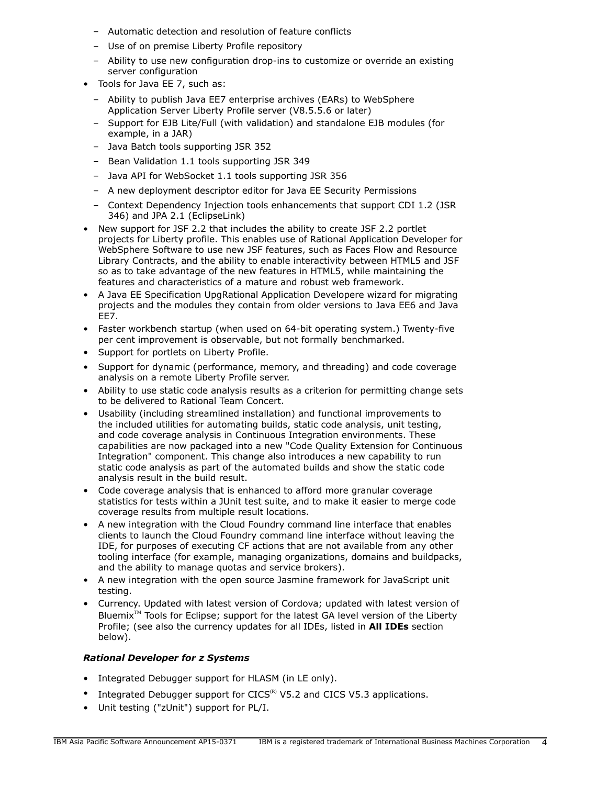- Automatic detection and resolution of feature conflicts
- Use of on premise Liberty Profile repository
- Ability to use new configuration drop-ins to customize or override an existing server configuration
- Tools for Java EE 7, such as:
	- Ability to publish Java EE7 enterprise archives (EARs) to WebSphere Application Server Liberty Profile server (V8.5.5.6 or later)
	- Support for EJB Lite/Full (with validation) and standalone EJB modules (for example, in a JAR)
	- Java Batch tools supporting JSR 352
	- Bean Validation 1.1 tools supporting JSR 349
	- Java API for WebSocket 1.1 tools supporting JSR 356
	- A new deployment descriptor editor for Java EE Security Permissions
	- Context Dependency Injection tools enhancements that support CDI 1.2 (JSR 346) and JPA 2.1 (EclipseLink)
- New support for JSF 2.2 that includes the ability to create JSF 2.2 portlet projects for Liberty profile. This enables use of Rational Application Developer for WebSphere Software to use new JSF features, such as Faces Flow and Resource Library Contracts, and the ability to enable interactivity between HTML5 and JSF so as to take advantage of the new features in HTML5, while maintaining the features and characteristics of a mature and robust web framework.
- A Java EE Specification UpgRational Application Developere wizard for migrating projects and the modules they contain from older versions to Java EE6 and Java EE7.
- Faster workbench startup (when used on 64-bit operating system.) Twenty-five per cent improvement is observable, but not formally benchmarked.
- Support for portlets on Liberty Profile.
- Support for dynamic (performance, memory, and threading) and code coverage analysis on a remote Liberty Profile server.
- Ability to use static code analysis results as a criterion for permitting change sets to be delivered to Rational Team Concert.
- Usability (including streamlined installation) and functional improvements to the included utilities for automating builds, static code analysis, unit testing, and code coverage analysis in Continuous Integration environments. These capabilities are now packaged into a new "Code Quality Extension for Continuous Integration" component. This change also introduces a new capability to run static code analysis as part of the automated builds and show the static code analysis result in the build result.
- Code coverage analysis that is enhanced to afford more granular coverage statistics for tests within a JUnit test suite, and to make it easier to merge code coverage results from multiple result locations.
- A new integration with the Cloud Foundry command line interface that enables clients to launch the Cloud Foundry command line interface without leaving the IDE, for purposes of executing CF actions that are not available from any other tooling interface (for example, managing organizations, domains and buildpacks, and the ability to manage quotas and service brokers).
- A new integration with the open source Jasmine framework for JavaScript unit testing.
- Currency. Updated with latest version of Cordova; updated with latest version of Bluemix $T^M$  Tools for Eclipse; support for the latest GA level version of the Liberty Profile; (see also the currency updates for all IDEs, listed in **All IDEs** section below).

# *Rational Developer for z Systems*

- Integrated Debugger support for HLASM (in LE only).
- Integrated Debugger support for  $CICS^{(R)}$  V5.2 and CICS V5.3 applications.
- Unit testing ("zUnit") support for PL/I.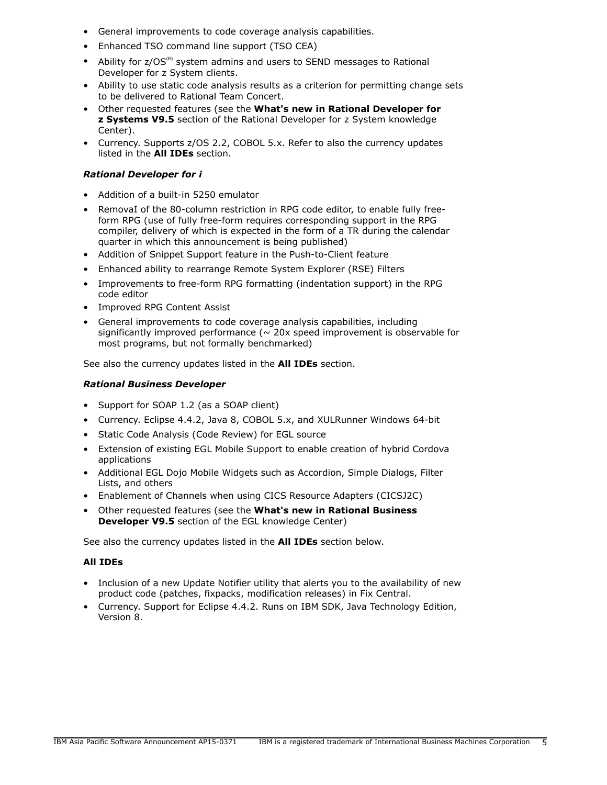- General improvements to code coverage analysis capabilities.
- Enhanced TSO command line support (TSO CEA)
- Ability for  $z/OS^{(R)}$  system admins and users to SEND messages to Rational Developer for z System clients.
- Ability to use static code analysis results as a criterion for permitting change sets to be delivered to Rational Team Concert.
- Other requested features (see the **What's new in Rational Developer for z Systems V9.5** section of the Rational Developer for z System knowledge Center).
- Currency. Supports z/OS 2.2, COBOL 5.x. Refer to also the currency updates listed in the **All IDEs** section.

# *Rational Developer for i*

- Addition of a built-in 5250 emulator
- RemovaI of the 80-column restriction in RPG code editor, to enable fully freeform RPG (use of fully free-form requires corresponding support in the RPG compiler, delivery of which is expected in the form of a TR during the calendar quarter in which this announcement is being published)
- Addition of Snippet Support feature in the Push-to-Client feature
- Enhanced ability to rearrange Remote System Explorer (RSE) Filters
- Improvements to free-form RPG formatting (indentation support) in the RPG code editor
- Improved RPG Content Assist
- General improvements to code coverage analysis capabilities, including significantly improved performance ( $\sim$  20x speed improvement is observable for most programs, but not formally benchmarked)

See also the currency updates listed in the **All IDEs** section.

# *Rational Business Developer*

- Support for SOAP 1.2 (as a SOAP client)
- Currency. Eclipse 4.4.2, Java 8, COBOL 5.x, and XULRunner Windows 64-bit
- Static Code Analysis (Code Review) for EGL source
- Extension of existing EGL Mobile Support to enable creation of hybrid Cordova applications
- Additional EGL Dojo Mobile Widgets such as Accordion, Simple Dialogs, Filter Lists, and others
- Enablement of Channels when using CICS Resource Adapters (CICSJ2C)
- Other requested features (see the **What's new in Rational Business Developer V9.5** section of the EGL knowledge Center)

See also the currency updates listed in the **All IDEs** section below.

# **All IDEs**

- Inclusion of a new Update Notifier utility that alerts you to the availability of new product code (patches, fixpacks, modification releases) in Fix Central.
- Currency. Support for Eclipse 4.4.2. Runs on IBM SDK, Java Technology Edition, Version 8.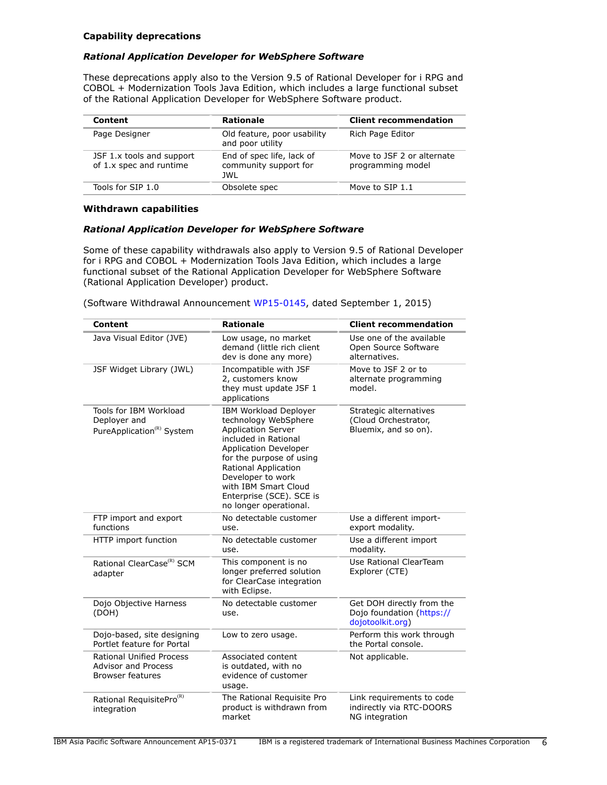## **Capability deprecations**

## *Rational Application Developer for WebSphere Software*

These deprecations apply also to the Version 9.5 of Rational Developer for i RPG and COBOL + Modernization Tools Java Edition, which includes a large functional subset of the Rational Application Developer for WebSphere Software product.

| Content                                              | <b>Rationale</b>                                          | <b>Client recommendation</b>                    |
|------------------------------------------------------|-----------------------------------------------------------|-------------------------------------------------|
| Page Designer                                        | Old feature, poor usability<br>and poor utility           | Rich Page Editor                                |
| JSF 1.x tools and support<br>of 1.x spec and runtime | End of spec life, lack of<br>community support for<br>JWL | Move to JSF 2 or alternate<br>programming model |
| Tools for SIP 1.0                                    | Obsolete spec                                             | Move to SIP 1.1                                 |

#### **Withdrawn capabilities**

## *Rational Application Developer for WebSphere Software*

Some of these capability withdrawals also apply to Version 9.5 of Rational Developer for i RPG and COBOL + Modernization Tools Java Edition, which includes a large functional subset of the Rational Application Developer for WebSphere Software (Rational Application Developer) product.

(Software Withdrawal Announcement [WP15-0145,](http://www.ibm.com/common/ssi/cgi-bin/ssialias?infotype=an&subtype=ca&appname=gpateam&supplier=872&letternum=ENUSWP15-0145) dated September 1, 2015)

| <b>Content</b>                                                                           | <b>Rationale</b>                                                                                                                                                                                                                                                                                 | <b>Client recommendation</b>                                               |
|------------------------------------------------------------------------------------------|--------------------------------------------------------------------------------------------------------------------------------------------------------------------------------------------------------------------------------------------------------------------------------------------------|----------------------------------------------------------------------------|
| Java Visual Editor (JVE)                                                                 | Low usage, no market<br>demand (little rich client<br>dev is done any more)                                                                                                                                                                                                                      | Use one of the available<br>Open Source Software<br>alternatives.          |
| JSF Widget Library (JWL)                                                                 | Incompatible with JSF<br>2, customers know<br>they must update JSF 1<br>applications                                                                                                                                                                                                             | Move to JSF 2 or to<br>alternate programming<br>model.                     |
| Tools for IBM Workload<br>Deployer and<br>PureApplication <sup>(R)</sup> System          | <b>IBM Workload Deployer</b><br>technology WebSphere<br><b>Application Server</b><br>included in Rational<br><b>Application Developer</b><br>for the purpose of using<br>Rational Application<br>Developer to work<br>with IBM Smart Cloud<br>Enterprise (SCE). SCE is<br>no longer operational. | Strategic alternatives<br>(Cloud Orchestrator,<br>Bluemix, and so on).     |
| FTP import and export<br>functions                                                       | No detectable customer<br>use.                                                                                                                                                                                                                                                                   | Use a different import-<br>export modality.                                |
| HTTP import function                                                                     | No detectable customer<br>use.                                                                                                                                                                                                                                                                   | Use a different import<br>modality.                                        |
| Rational ClearCase <sup>(R)</sup> SCM<br>adapter                                         | This component is no<br>longer preferred solution<br>for ClearCase integration<br>with Eclipse.                                                                                                                                                                                                  | Use Rational ClearTeam<br>Explorer (CTE)                                   |
| Dojo Objective Harness<br>(DOH)                                                          | No detectable customer<br>use.                                                                                                                                                                                                                                                                   | Get DOH directly from the<br>Dojo foundation (https://<br>dojotoolkit.org) |
| Dojo-based, site designing<br>Portlet feature for Portal                                 | Low to zero usage.                                                                                                                                                                                                                                                                               | Perform this work through<br>the Portal console.                           |
| <b>Rational Unified Process</b><br><b>Advisor and Process</b><br><b>Browser features</b> | Associated content<br>is outdated, with no<br>evidence of customer<br>usage.                                                                                                                                                                                                                     | Not applicable.                                                            |
| Rational RequisitePro <sup>(R)</sup><br>integration                                      | The Rational Requisite Pro<br>product is withdrawn from<br>market                                                                                                                                                                                                                                | Link requirements to code<br>indirectly via RTC-DOORS<br>NG integration    |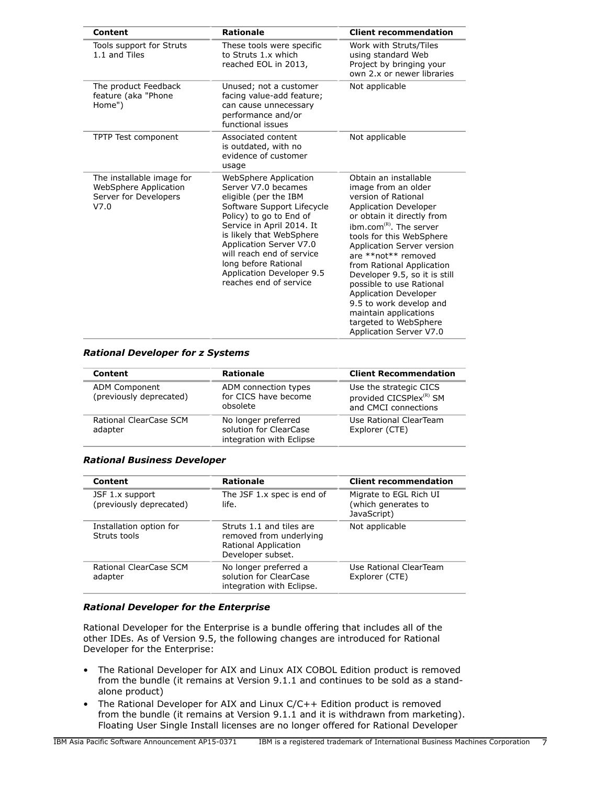| <b>Content</b>                                                                      | <b>Rationale</b>                                                                                                                                                                                                                                                                                                               | <b>Client recommendation</b>                                                                                                                                                                                                                                                                                                                                                                                                                                                                |
|-------------------------------------------------------------------------------------|--------------------------------------------------------------------------------------------------------------------------------------------------------------------------------------------------------------------------------------------------------------------------------------------------------------------------------|---------------------------------------------------------------------------------------------------------------------------------------------------------------------------------------------------------------------------------------------------------------------------------------------------------------------------------------------------------------------------------------------------------------------------------------------------------------------------------------------|
| Tools support for Struts<br>1.1 and Tiles                                           | These tools were specific<br>to Struts 1.x which<br>reached EOL in 2013,                                                                                                                                                                                                                                                       | Work with Struts/Tiles<br>using standard Web<br>Project by bringing your<br>own 2.x or newer libraries                                                                                                                                                                                                                                                                                                                                                                                      |
| The product Feedback<br>feature (aka "Phone<br>Home")                               | Unused; not a customer<br>facing value-add feature;<br>can cause unnecessary<br>performance and/or<br>functional issues                                                                                                                                                                                                        | Not applicable                                                                                                                                                                                                                                                                                                                                                                                                                                                                              |
| TPTP Test component                                                                 | Associated content<br>is outdated, with no<br>evidence of customer<br>usage                                                                                                                                                                                                                                                    | Not applicable                                                                                                                                                                                                                                                                                                                                                                                                                                                                              |
| The installable image for<br>WebSphere Application<br>Server for Developers<br>V7.0 | WebSphere Application<br>Server V7.0 becames<br>eligible (per the IBM<br>Software Support Lifecycle<br>Policy) to go to End of<br>Service in April 2014. It<br>is likely that WebSphere<br>Application Server V7.0<br>will reach end of service<br>long before Rational<br>Application Developer 9.5<br>reaches end of service | Obtain an installable<br>image from an older<br>version of Rational<br><b>Application Developer</b><br>or obtain it directly from<br>ibm.com <sup>(R)</sup> . The server<br>tools for this WebSphere<br>Application Server version<br>are **not** removed<br>from Rational Application<br>Developer 9.5, so it is still<br>possible to use Rational<br><b>Application Developer</b><br>9.5 to work develop and<br>maintain applications<br>targeted to WebSphere<br>Application Server V7.0 |

## *Rational Developer for z Systems*

| Content                                  | <b>Rationale</b>                                                          | <b>Client Recommendation</b>                                                          |
|------------------------------------------|---------------------------------------------------------------------------|---------------------------------------------------------------------------------------|
| ADM Component<br>(previously deprecated) | ADM connection types<br>for CICS have become<br>obsolete                  | Use the strategic CICS<br>provided CICSPlex <sup>(R)</sup> SM<br>and CMCI connections |
| Rational ClearCase SCM<br>adapter        | No longer preferred<br>solution for ClearCase<br>integration with Eclipse | Use Rational ClearTeam<br>Explorer (CTE)                                              |

## *Rational Business Developer*

| Content                                    | <b>Rationale</b>                                                                                 | <b>Client recommendation</b>                                 |
|--------------------------------------------|--------------------------------------------------------------------------------------------------|--------------------------------------------------------------|
| JSF 1.x support<br>(previously deprecated) | The JSF 1.x spec is end of<br>life.                                                              | Migrate to EGL Rich UI<br>(which generates to<br>JavaScript) |
| Installation option for<br>Struts tools    | Struts 1.1 and tiles are<br>removed from underlying<br>Rational Application<br>Developer subset. | Not applicable                                               |
| Rational ClearCase SCM<br>adapter          | No longer preferred a<br>solution for ClearCase<br>integration with Eclipse.                     | Use Rational ClearTeam<br>Explorer (CTE)                     |

## *Rational Developer for the Enterprise*

Rational Developer for the Enterprise is a bundle offering that includes all of the other IDEs. As of Version 9.5, the following changes are introduced for Rational Developer for the Enterprise:

- The Rational Developer for AIX and Linux AIX COBOL Edition product is removed from the bundle (it remains at Version 9.1.1 and continues to be sold as a standalone product)
- The Rational Developer for AIX and Linux C/C++ Edition product is removed from the bundle (it remains at Version 9.1.1 and it is withdrawn from marketing). Floating User Single Install licenses are no longer offered for Rational Developer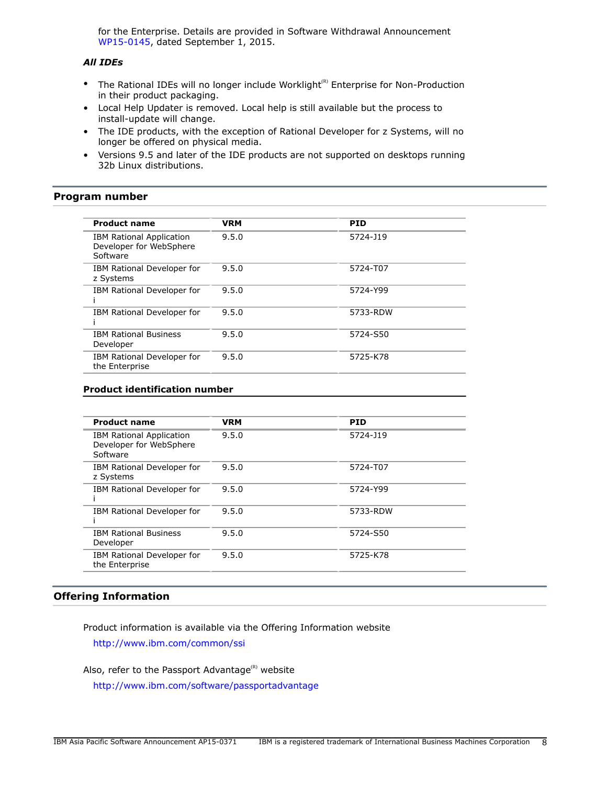for the Enterprise. Details are provided in Software Withdrawal Announcement [WP15-0145,](http://www.ibm.com/common/ssi/cgi-bin/ssialias?infotype=an&subtype=ca&appname=gpateam&supplier=872&letternum=ENUSWP15-0145) dated September 1, 2015.

# *All IDEs*

- The Rational IDEs will no longer include Worklight<sup>(R)</sup> Enterprise for Non-Production in their product packaging.
- Local Help Updater is removed. Local help is still available but the process to install-update will change.
- The IDE products, with the exception of Rational Developer for z Systems, will no longer be offered on physical media.
- Versions 9.5 and later of the IDE products are not supported on desktops running 32b Linux distributions.

# <span id="page-7-0"></span>**Program number**

| <b>Product name</b>                                                    | <b>VRM</b> | <b>PID</b> |
|------------------------------------------------------------------------|------------|------------|
| <b>IBM Rational Application</b><br>Developer for WebSphere<br>Software | 9.5.0      | 5724-J19   |
| IBM Rational Developer for<br>z Systems                                | 9.5.0      | 5724-T07   |
| IBM Rational Developer for                                             | 9.5.0      | 5724-Y99   |
| IBM Rational Developer for                                             | 9.5.0      | 5733-RDW   |
| <b>IBM Rational Business</b><br>Developer                              | 9.5.0      | 5724-S50   |
| IBM Rational Developer for<br>the Enterprise                           | 9.5.0      | 5725-K78   |
|                                                                        |            |            |

# **Product identification number**

| <b>Product name</b>                                                    | <b>VRM</b> | <b>PID</b> |
|------------------------------------------------------------------------|------------|------------|
| <b>IBM Rational Application</b><br>Developer for WebSphere<br>Software | 9.5.0      | 5724-J19   |
| IBM Rational Developer for<br>z Systems                                | 9.5.0      | 5724-T07   |
| IBM Rational Developer for                                             | 9.5.0      | 5724-Y99   |
| IBM Rational Developer for                                             | 9.5.0      | 5733-RDW   |
| <b>IBM Rational Business</b><br>Developer                              | 9.5.0      | 5724-S50   |
| IBM Rational Developer for<br>the Enterprise                           | 9.5.0      | 5725-K78   |

# **Offering Information**

Product information is available via the Offering Information website <http://www.ibm.com/common/ssi>

Also, refer to the Passport Advantage $^{(R)}$  website <http://www.ibm.com/software/passportadvantage>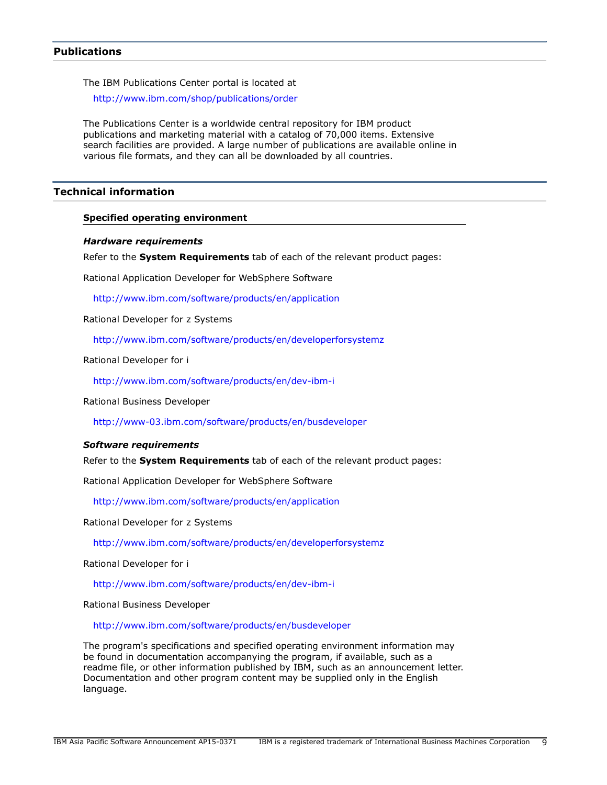# <span id="page-8-1"></span>**Publications**

The IBM Publications Center portal is located at

<http://www.ibm.com/shop/publications/order>

The Publications Center is a worldwide central repository for IBM product publications and marketing material with a catalog of 70,000 items. Extensive search facilities are provided. A large number of publications are available online in various file formats, and they can all be downloaded by all countries.

# <span id="page-8-0"></span>**Technical information**

## **Specified operating environment**

#### <span id="page-8-2"></span>*Hardware requirements*

Refer to the **System Requirements** tab of each of the relevant product pages:

Rational Application Developer for WebSphere Software

<http://www.ibm.com/software/products/en/application>

Rational Developer for z Systems

<http://www.ibm.com/software/products/en/developerforsystemz>

Rational Developer for i

<http://www.ibm.com/software/products/en/dev-ibm-i>

Rational Business Developer

<http://www-03.ibm.com/software/products/en/busdeveloper>

#### <span id="page-8-3"></span>*Software requirements*

Refer to the **System Requirements** tab of each of the relevant product pages:

Rational Application Developer for WebSphere Software

<http://www.ibm.com/software/products/en/application>

Rational Developer for z Systems

<http://www.ibm.com/software/products/en/developerforsystemz>

Rational Developer for i

<http://www.ibm.com/software/products/en/dev-ibm-i>

Rational Business Developer

<http://www.ibm.com/software/products/en/busdeveloper>

The program's specifications and specified operating environment information may be found in documentation accompanying the program, if available, such as a readme file, or other information published by IBM, such as an announcement letter. Documentation and other program content may be supplied only in the English language.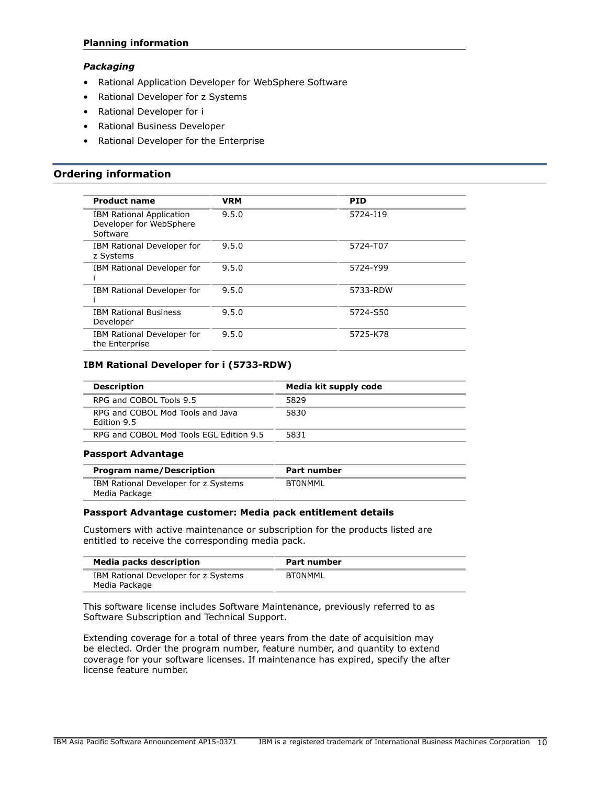# **Planning information**

# *Packaging*

- Rational Application Developer for WebSphere Software
- Rational Developer for z Systems
- Rational Developer for i
- Rational Business Developer
- Rational Developer for the Enterprise

# <span id="page-9-0"></span>**Ordering information**

| <b>Product name</b>                                                    | <b>VRM</b> | <b>PID</b> |
|------------------------------------------------------------------------|------------|------------|
| <b>IBM Rational Application</b><br>Developer for WebSphere<br>Software | 9.5.0      | 5724-J19   |
| IBM Rational Developer for<br>z Systems                                | 9.5.0      | 5724-T07   |
| IBM Rational Developer for                                             | 9.5.0      | 5724-Y99   |
| IBM Rational Developer for                                             | 9.5.0      | 5733-RDW   |
| <b>IBM Rational Business</b><br>Developer                              | 9.5.0      | 5724-S50   |
| IBM Rational Developer for<br>the Enterprise                           | 9.5.0      | 5725-K78   |

# **IBM Rational Developer for i (5733-RDW)**

| <b>Description</b>                                     | Media kit supply code |
|--------------------------------------------------------|-----------------------|
| RPG and COBOL Tools 9.5                                | 5829                  |
| RPG and COBOL Mod Tools and Java<br><b>Edition 9.5</b> | 5830                  |
| RPG and COBOL Mod Tools EGL Edition 9.5                | 5831                  |
|                                                        |                       |

## **Passport Advantage**

| <b>Program name/Description</b>                       | Part number |
|-------------------------------------------------------|-------------|
| IBM Rational Developer for z Systems<br>Media Package | BTONMML     |

## **Passport Advantage customer: Media pack entitlement details**

Customers with active maintenance or subscription for the products listed are entitled to receive the corresponding media pack.

| <b>Media packs description</b>                        | Part number |
|-------------------------------------------------------|-------------|
| IBM Rational Developer for z Systems<br>Media Package | BTONMML     |

This software license includes Software Maintenance, previously referred to as Software Subscription and Technical Support.

Extending coverage for a total of three years from the date of acquisition may be elected. Order the program number, feature number, and quantity to extend coverage for your software licenses. If maintenance has expired, specify the after license feature number.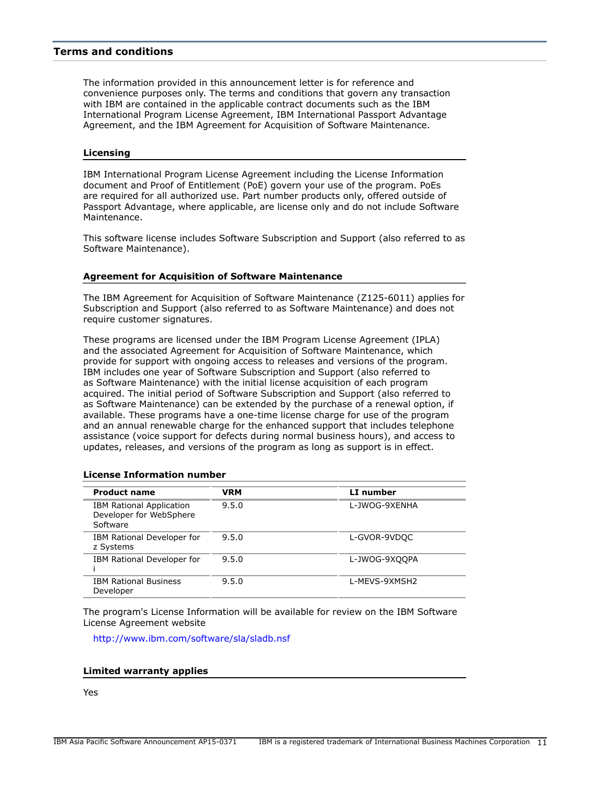# <span id="page-10-0"></span>**Terms and conditions**

The information provided in this announcement letter is for reference and convenience purposes only. The terms and conditions that govern any transaction with IBM are contained in the applicable contract documents such as the IBM International Program License Agreement, IBM International Passport Advantage Agreement, and the IBM Agreement for Acquisition of Software Maintenance.

#### **Licensing**

IBM International Program License Agreement including the License Information document and Proof of Entitlement (PoE) govern your use of the program. PoEs are required for all authorized use. Part number products only, offered outside of Passport Advantage, where applicable, are license only and do not include Software Maintenance.

This software license includes Software Subscription and Support (also referred to as Software Maintenance).

#### **Agreement for Acquisition of Software Maintenance**

The IBM Agreement for Acquisition of Software Maintenance (Z125-6011) applies for Subscription and Support (also referred to as Software Maintenance) and does not require customer signatures.

These programs are licensed under the IBM Program License Agreement (IPLA) and the associated Agreement for Acquisition of Software Maintenance, which provide for support with ongoing access to releases and versions of the program. IBM includes one year of Software Subscription and Support (also referred to as Software Maintenance) with the initial license acquisition of each program acquired. The initial period of Software Subscription and Support (also referred to as Software Maintenance) can be extended by the purchase of a renewal option, if available. These programs have a one-time license charge for use of the program and an annual renewable charge for the enhanced support that includes telephone assistance (voice support for defects during normal business hours), and access to updates, releases, and versions of the program as long as support is in effect.

| <b>Product name</b>                                                    | <b>VRM</b> | LI number     |
|------------------------------------------------------------------------|------------|---------------|
| <b>IBM Rational Application</b><br>Developer for WebSphere<br>Software | 9.5.0      | L-JWOG-9XENHA |
| IBM Rational Developer for<br>z Systems                                | 9.5.0      | L-GVOR-9VDOC  |
| IBM Rational Developer for                                             | 9.5.0      | L-JWOG-9XOOPA |
| <b>IBM Rational Business</b><br>Developer                              | 9.5.0      | L-MEVS-9XMSH2 |

## **License Information number**

The program's License Information will be available for review on the IBM Software License Agreement website

<http://www.ibm.com/software/sla/sladb.nsf>

#### **Limited warranty applies**

Yes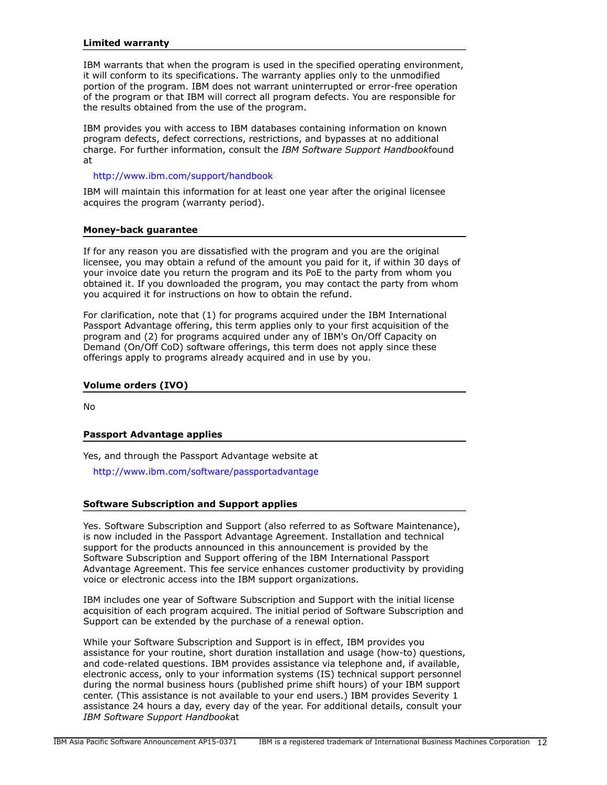## **Limited warranty**

IBM warrants that when the program is used in the specified operating environment, it will conform to its specifications. The warranty applies only to the unmodified portion of the program. IBM does not warrant uninterrupted or error-free operation of the program or that IBM will correct all program defects. You are responsible for the results obtained from the use of the program.

IBM provides you with access to IBM databases containing information on known program defects, defect corrections, restrictions, and bypasses at no additional charge. For further information, consult the *IBM Software Support Handbook*found at

## <http://www.ibm.com/support/handbook>

IBM will maintain this information for at least one year after the original licensee acquires the program (warranty period).

## **Money-back guarantee**

If for any reason you are dissatisfied with the program and you are the original licensee, you may obtain a refund of the amount you paid for it, if within 30 days of your invoice date you return the program and its PoE to the party from whom you obtained it. If you downloaded the program, you may contact the party from whom you acquired it for instructions on how to obtain the refund.

For clarification, note that (1) for programs acquired under the IBM International Passport Advantage offering, this term applies only to your first acquisition of the program and (2) for programs acquired under any of IBM's On/Off Capacity on Demand (On/Off CoD) software offerings, this term does not apply since these offerings apply to programs already acquired and in use by you.

## **Volume orders (IVO)**

No

## **Passport Advantage applies**

Yes, and through the Passport Advantage website at

<http://www.ibm.com/software/passportadvantage>

## **Software Subscription and Support applies**

Yes. Software Subscription and Support (also referred to as Software Maintenance), is now included in the Passport Advantage Agreement. Installation and technical support for the products announced in this announcement is provided by the Software Subscription and Support offering of the IBM International Passport Advantage Agreement. This fee service enhances customer productivity by providing voice or electronic access into the IBM support organizations.

IBM includes one year of Software Subscription and Support with the initial license acquisition of each program acquired. The initial period of Software Subscription and Support can be extended by the purchase of a renewal option.

While your Software Subscription and Support is in effect, IBM provides you assistance for your routine, short duration installation and usage (how-to) questions, and code-related questions. IBM provides assistance via telephone and, if available, electronic access, only to your information systems (IS) technical support personnel during the normal business hours (published prime shift hours) of your IBM support center. (This assistance is not available to your end users.) IBM provides Severity 1 assistance 24 hours a day, every day of the year. For additional details, consult your *IBM Software Support Handbook*at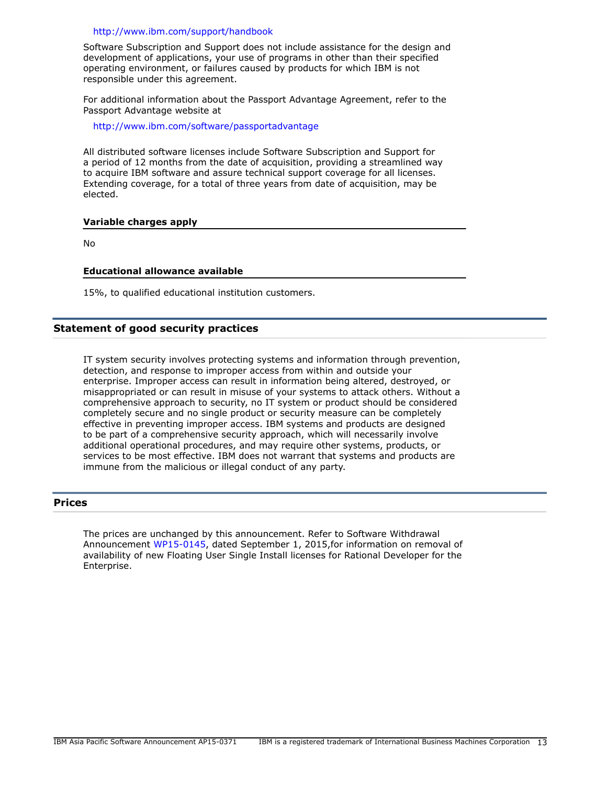#### <http://www.ibm.com/support/handbook>

Software Subscription and Support does not include assistance for the design and development of applications, your use of programs in other than their specified operating environment, or failures caused by products for which IBM is not responsible under this agreement.

For additional information about the Passport Advantage Agreement, refer to the Passport Advantage website at

<http://www.ibm.com/software/passportadvantage>

All distributed software licenses include Software Subscription and Support for a period of 12 months from the date of acquisition, providing a streamlined way to acquire IBM software and assure technical support coverage for all licenses. Extending coverage, for a total of three years from date of acquisition, may be elected.

## **Variable charges apply**

No

#### **Educational allowance available**

15%, to qualified educational institution customers.

## **Statement of good security practices**

IT system security involves protecting systems and information through prevention, detection, and response to improper access from within and outside your enterprise. Improper access can result in information being altered, destroyed, or misappropriated or can result in misuse of your systems to attack others. Without a comprehensive approach to security, no IT system or product should be considered completely secure and no single product or security measure can be completely effective in preventing improper access. IBM systems and products are designed to be part of a comprehensive security approach, which will necessarily involve additional operational procedures, and may require other systems, products, or services to be most effective. IBM does not warrant that systems and products are immune from the malicious or illegal conduct of any party.

# <span id="page-12-0"></span>**Prices**

The prices are unchanged by this announcement. Refer to Software Withdrawal Announcement [WP15-0145,](http://www.ibm.com/common/ssi/cgi-bin/ssialias?infotype=an&subtype=ca&appname=gpateam&supplier=872&letternum=ENUSWP15-0145) dated September 1, 2015,for information on removal of availability of new Floating User Single Install licenses for Rational Developer for the Enterprise.